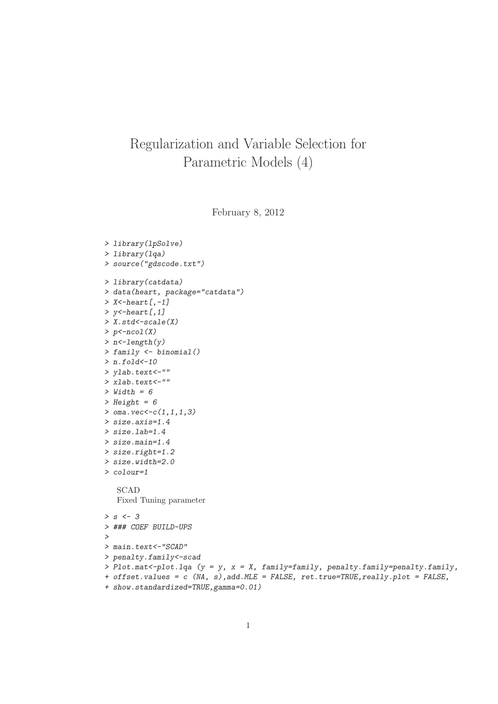## Regularization and Variable Selection for Parametric Models (4)

February 8, 2012

```
> library(lpSolve)
> library(lqa)
> source("gdscode.txt")
> library(catdata)
> data(heart, package="catdata")
> X<-heart[,-1]
> y<-heart[,1]
> X.std<-scale(X)
> p<-ncol(X)
> n<-length(y)
> family <- binomial()
> n.fold<-10
> ylab.text<-""
> xlab.text<-""
> Width = 6
> Height = 6
> oma.vec<-c(1,1,1,3)
> size.axis=1.4
> size.lab=1.4
> size.main=1.4
> size.right=1.2
> size.width=2.0
> colour=1
   SCAD
   Fixed Tuning parameter
> s <- 3
> ### COEF BUILD-UPS
>
> main.text<-"SCAD"
> penalty.family<-scad
> Plot.mat<-plot.lqa (y = y, x = X, family=family, penalty.family=penalty.family,
+ offset.values = c (NA, s),add.MLE = FALSE, ret.true=TRUE,really.plot = FALSE,
+ show.standardized=TRUE,gamma=0.01)
```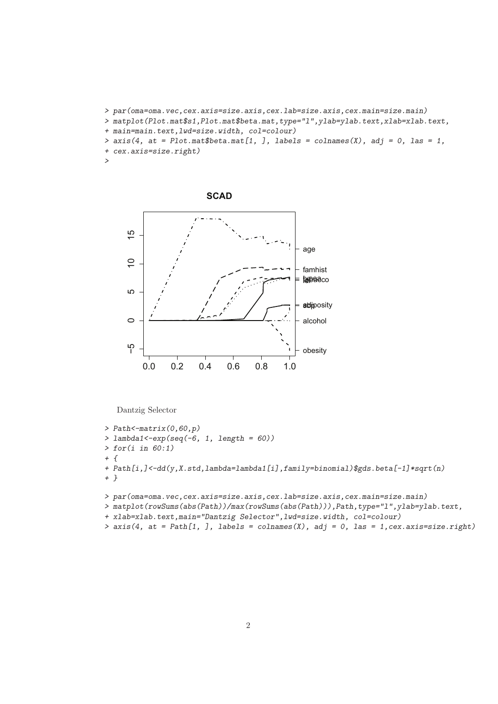- *> par(oma=oma.vec,cex.axis=size.axis,cex.lab=size.axis,cex.main=size.main)*
- *> matplot(Plot.mat\$s1,Plot.mat\$beta.mat,type="l",ylab=ylab.text,xlab=xlab.text,*
- *+ main=main.text,lwd=size.width, col=colour)*

```
> axis(4, at = Plot.mat$beta.mat[1, ], labels = colnames(X), adj = 0, las = 1,
```
*+ cex.axis=size.right)*

```
>
```

```
SCAD
\overline{5}−5 0 5 10 15
                                                      age
\overline{C}famhist
                                                      topeaco
ပ
                                                      adiposity
\circalcohol
ပှ
                                                      obesity
     0.0 0.2 0.4 0.6 0.8 1.0
```
Dantzig Selector

```
> Path<-matrix(0,60,p)
> lambda1<-exp(seq(-6, 1, length = 60))
> for(i in 60:1)
+ {
+ Path[i,]<-dd(y,X.std,lambda=lambda1[i],family=binomial)$gds.beta[-1]*sqrt(n)
+ }
> par(oma=oma.vec,cex.axis=size.axis,cex.lab=size.axis,cex.main=size.main)
> matplot(rowSums(abs(Path))/max(rowSums(abs(Path))),Path,type="l",ylab=ylab.text,
+ xlab=xlab.text,main="Dantzig Selector",lwd=size.width, col=colour)
```

```
\geq axis(4, at = Path[1, ], labels = colnames(X), adj = 0, las = 1, cex.axis=size.right)
```